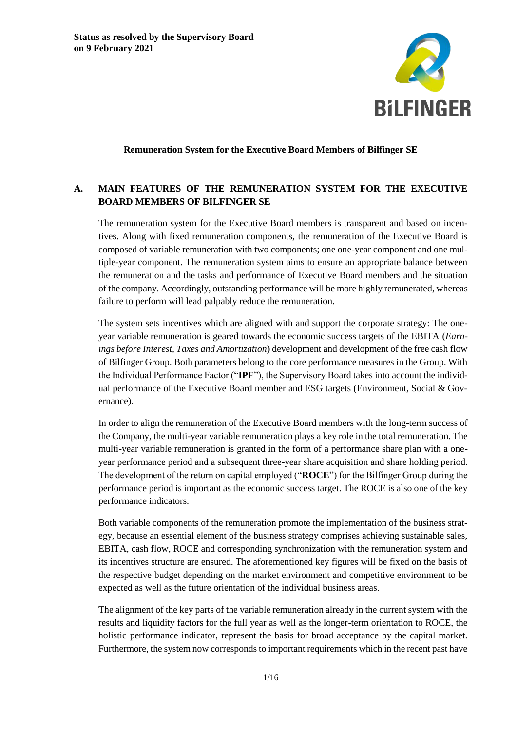

#### **Remuneration System for the Executive Board Members of Bilfinger SE**

## **A. MAIN FEATURES OF THE REMUNERATION SYSTEM FOR THE EXECUTIVE BOARD MEMBERS OF BILFINGER SE**

The remuneration system for the Executive Board members is transparent and based on incentives. Along with fixed remuneration components, the remuneration of the Executive Board is composed of variable remuneration with two components; one one-year component and one multiple-year component. The remuneration system aims to ensure an appropriate balance between the remuneration and the tasks and performance of Executive Board members and the situation of the company. Accordingly, outstanding performance will be more highly remunerated, whereas failure to perform will lead palpably reduce the remuneration.

The system sets incentives which are aligned with and support the corporate strategy: The oneyear variable remuneration is geared towards the economic success targets of the EBITA (*Earnings before Interest, Taxes and Amortization*) development and development of the free cash flow of Bilfinger Group. Both parameters belong to the core performance measures in the Group. With the Individual Performance Factor ("**IPF**"), the Supervisory Board takes into account the individual performance of the Executive Board member and ESG targets (Environment, Social & Governance).

In order to align the remuneration of the Executive Board members with the long-term success of the Company, the multi-year variable remuneration plays a key role in the total remuneration. The multi-year variable remuneration is granted in the form of a performance share plan with a oneyear performance period and a subsequent three-year share acquisition and share holding period. The development of the return on capital employed ("**ROCE**") for the Bilfinger Group during the performance period is important as the economic success target. The ROCE is also one of the key performance indicators.

Both variable components of the remuneration promote the implementation of the business strategy, because an essential element of the business strategy comprises achieving sustainable sales, EBITA, cash flow, ROCE and corresponding synchronization with the remuneration system and its incentives structure are ensured. The aforementioned key figures will be fixed on the basis of the respective budget depending on the market environment and competitive environment to be expected as well as the future orientation of the individual business areas.

The alignment of the key parts of the variable remuneration already in the current system with the results and liquidity factors for the full year as well as the longer-term orientation to ROCE, the holistic performance indicator, represent the basis for broad acceptance by the capital market. Furthermore, the system now corresponds to important requirements which in the recent past have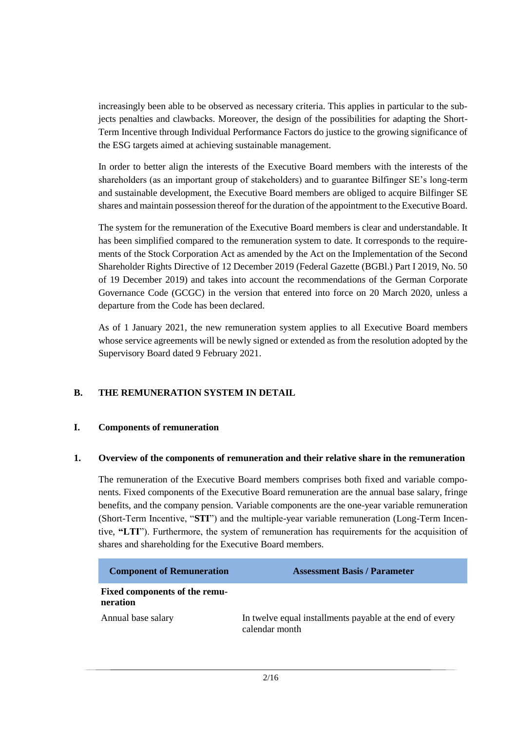increasingly been able to be observed as necessary criteria. This applies in particular to the subjects penalties and clawbacks. Moreover, the design of the possibilities for adapting the Short-Term Incentive through Individual Performance Factors do justice to the growing significance of the ESG targets aimed at achieving sustainable management.

In order to better align the interests of the Executive Board members with the interests of the shareholders (as an important group of stakeholders) and to guarantee Bilfinger SE's long-term and sustainable development, the Executive Board members are obliged to acquire Bilfinger SE shares and maintain possession thereof for the duration of the appointment to the Executive Board.

The system for the remuneration of the Executive Board members is clear and understandable. It has been simplified compared to the remuneration system to date. It corresponds to the requirements of the Stock Corporation Act as amended by the Act on the Implementation of the Second Shareholder Rights Directive of 12 December 2019 (Federal Gazette (BGBl.) Part I 2019, No. 50 of 19 December 2019) and takes into account the recommendations of the German Corporate Governance Code (GCGC) in the version that entered into force on 20 March 2020, unless a departure from the Code has been declared.

As of 1 January 2021, the new remuneration system applies to all Executive Board members whose service agreements will be newly signed or extended as from the resolution adopted by the Supervisory Board dated 9 February 2021.

# **B. THE REMUNERATION SYSTEM IN DETAIL**

#### **I. Components of remuneration**

#### **1. Overview of the components of remuneration and their relative share in the remuneration**

The remuneration of the Executive Board members comprises both fixed and variable components. Fixed components of the Executive Board remuneration are the annual base salary, fringe benefits, and the company pension. Variable components are the one-year variable remuneration (Short-Term Incentive, "**STI**") and the multiple-year variable remuneration (Long-Term Incentive, **"LTI**"). Furthermore, the system of remuneration has requirements for the acquisition of shares and shareholding for the Executive Board members.

| <b>Component of Remuneration</b>          | <b>Assessment Basis / Parameter</b>                                        |
|-------------------------------------------|----------------------------------------------------------------------------|
| Fixed components of the remu-<br>neration |                                                                            |
| Annual base salary                        | In twelve equal installments payable at the end of every<br>calendar month |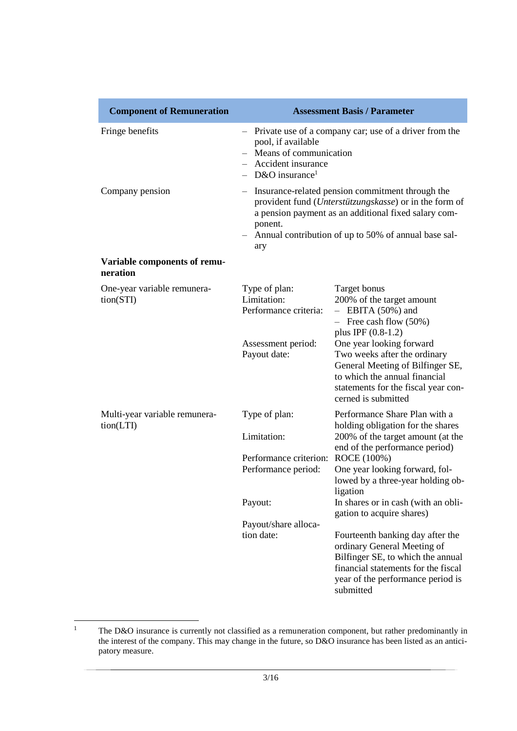| <b>Component of Remuneration</b>           | <b>Assessment Basis / Parameter</b>                                                                                                                                                                                                          |                                                                                                                                                                                               |  |
|--------------------------------------------|----------------------------------------------------------------------------------------------------------------------------------------------------------------------------------------------------------------------------------------------|-----------------------------------------------------------------------------------------------------------------------------------------------------------------------------------------------|--|
| Fringe benefits                            | - Private use of a company car; use of a driver from the<br>pool, if available<br>- Means of communication<br>- Accident insurance<br>$-$ D&O insurance <sup>1</sup>                                                                         |                                                                                                                                                                                               |  |
| Company pension                            | Insurance-related pension commitment through the<br>provident fund (Unterstützungskasse) or in the form of<br>a pension payment as an additional fixed salary com-<br>ponent.<br>Annual contribution of up to 50% of annual base sal-<br>ary |                                                                                                                                                                                               |  |
| Variable components of remu-<br>neration   |                                                                                                                                                                                                                                              |                                                                                                                                                                                               |  |
| One-year variable remunera-<br>tion(STI)   | Type of plan:<br>Limitation:<br>Performance criteria:                                                                                                                                                                                        | Target bonus<br>200% of the target amount<br>$-$ EBITA (50%) and<br>$-$ Free cash flow (50%)<br>plus IPF $(0.8-1.2)$                                                                          |  |
|                                            | Assessment period:<br>Payout date:                                                                                                                                                                                                           | One year looking forward<br>Two weeks after the ordinary<br>General Meeting of Bilfinger SE,<br>to which the annual financial<br>statements for the fiscal year con-<br>cerned is submitted   |  |
| Multi-year variable remunera-<br>tion(LTI) | Type of plan:<br>Limitation:                                                                                                                                                                                                                 | Performance Share Plan with a<br>holding obligation for the shares                                                                                                                            |  |
|                                            |                                                                                                                                                                                                                                              | 200% of the target amount (at the<br>end of the performance period)                                                                                                                           |  |
|                                            | Performance criterion:<br>Performance period:                                                                                                                                                                                                | ROCE (100%)<br>One year looking forward, fol-<br>lowed by a three-year holding ob-<br>ligation                                                                                                |  |
|                                            | Payout:                                                                                                                                                                                                                                      | In shares or in cash (with an obli-<br>gation to acquire shares)                                                                                                                              |  |
|                                            | Payout/share alloca-<br>tion date:                                                                                                                                                                                                           | Fourteenth banking day after the<br>ordinary General Meeting of<br>Bilfinger SE, to which the annual<br>financial statements for the fiscal<br>year of the performance period is<br>submitted |  |

 $\,1\,$ <sup>1</sup> The D&O insurance is currently not classified as a remuneration component, but rather predominantly in the interest of the company. This may change in the future, so D&O insurance has been listed as an anticipatory measure.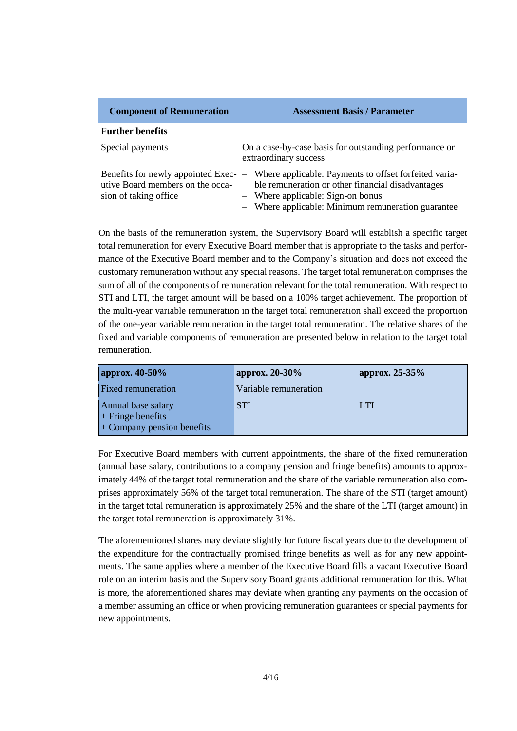| <b>Component of Remuneration</b>                           | <b>Assessment Basis / Parameter</b>                                                                                                                                                                                                          |
|------------------------------------------------------------|----------------------------------------------------------------------------------------------------------------------------------------------------------------------------------------------------------------------------------------------|
| <b>Further benefits</b>                                    |                                                                                                                                                                                                                                              |
| Special payments                                           | On a case-by-case basis for outstanding performance or<br>extraordinary success                                                                                                                                                              |
| utive Board members on the occa-<br>sion of taking office. | Benefits for newly appointed Exec- - Where applicable: Payments to offset forfeited varia-<br>ble remuneration or other financial disadvantages<br>$-$ Where applicable: Sign-on bonus<br>- Where applicable: Minimum remuneration guarantee |

On the basis of the remuneration system, the Supervisory Board will establish a specific target total remuneration for every Executive Board member that is appropriate to the tasks and performance of the Executive Board member and to the Company's situation and does not exceed the customary remuneration without any special reasons. The target total remuneration comprises the sum of all of the components of remuneration relevant for the total remuneration. With respect to STI and LTI, the target amount will be based on a 100% target achievement. The proportion of the multi-year variable remuneration in the target total remuneration shall exceed the proportion of the one-year variable remuneration in the target total remuneration. The relative shares of the fixed and variable components of remuneration are presented below in relation to the target total remuneration.

| approx. 40-50%                                                            | approx. $20-30\%$     | approx. 25-35% |
|---------------------------------------------------------------------------|-----------------------|----------------|
| <b>Fixed remuneration</b>                                                 | Variable remuneration |                |
| Annual base salary<br>$+$ Fringe benefits<br>$+$ Company pension benefits | <b>STI</b>            | LTI            |

For Executive Board members with current appointments, the share of the fixed remuneration (annual base salary, contributions to a company pension and fringe benefits) amounts to approximately 44% of the target total remuneration and the share of the variable remuneration also comprises approximately 56% of the target total remuneration. The share of the STI (target amount) in the target total remuneration is approximately 25% and the share of the LTI (target amount) in the target total remuneration is approximately 31%.

The aforementioned shares may deviate slightly for future fiscal years due to the development of the expenditure for the contractually promised fringe benefits as well as for any new appointments. The same applies where a member of the Executive Board fills a vacant Executive Board role on an interim basis and the Supervisory Board grants additional remuneration for this. What is more, the aforementioned shares may deviate when granting any payments on the occasion of a member assuming an office or when providing remuneration guarantees or special payments for new appointments.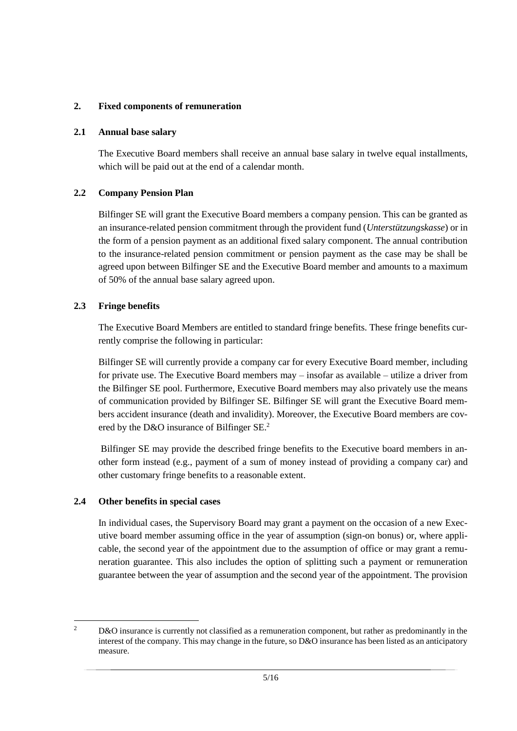## **2. Fixed components of remuneration**

#### **2.1 Annual base salary**

The Executive Board members shall receive an annual base salary in twelve equal installments, which will be paid out at the end of a calendar month.

## **2.2 Company Pension Plan**

Bilfinger SE will grant the Executive Board members a company pension. This can be granted as an insurance-related pension commitment through the provident fund (*Unterstützungskasse*) or in the form of a pension payment as an additional fixed salary component. The annual contribution to the insurance-related pension commitment or pension payment as the case may be shall be agreed upon between Bilfinger SE and the Executive Board member and amounts to a maximum of 50% of the annual base salary agreed upon.

## **2.3 Fringe benefits**

The Executive Board Members are entitled to standard fringe benefits. These fringe benefits currently comprise the following in particular:

Bilfinger SE will currently provide a company car for every Executive Board member, including for private use. The Executive Board members may – insofar as available – utilize a driver from the Bilfinger SE pool. Furthermore, Executive Board members may also privately use the means of communication provided by Bilfinger SE. Bilfinger SE will grant the Executive Board members accident insurance (death and invalidity). Moreover, the Executive Board members are covered by the D&O insurance of Bilfinger SE.<sup>2</sup>

Bilfinger SE may provide the described fringe benefits to the Executive board members in another form instead (e.g., payment of a sum of money instead of providing a company car) and other customary fringe benefits to a reasonable extent.

## **2.4 Other benefits in special cases**

In individual cases, the Supervisory Board may grant a payment on the occasion of a new Executive board member assuming office in the year of assumption (sign-on bonus) or, where applicable, the second year of the appointment due to the assumption of office or may grant a remuneration guarantee. This also includes the option of splitting such a payment or remuneration guarantee between the year of assumption and the second year of the appointment. The provision

<sup>-</sup><sup>2</sup> D&O insurance is currently not classified as a remuneration component, but rather as predominantly in the interest of the company. This may change in the future, so D&O insurance has been listed as an anticipatory measure.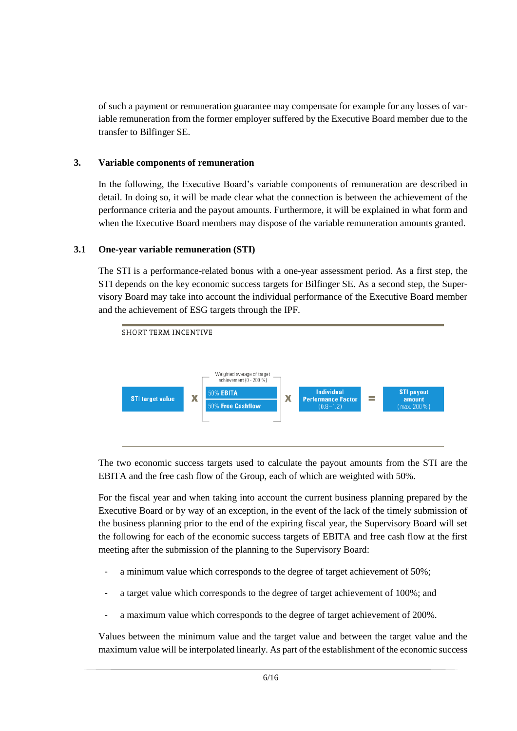of such a payment or remuneration guarantee may compensate for example for any losses of variable remuneration from the former employer suffered by the Executive Board member due to the transfer to Bilfinger SE.

## **3. Variable components of remuneration**

In the following, the Executive Board's variable components of remuneration are described in detail. In doing so, it will be made clear what the connection is between the achievement of the performance criteria and the payout amounts. Furthermore, it will be explained in what form and when the Executive Board members may dispose of the variable remuneration amounts granted.

#### **3.1 One-year variable remuneration (STI)**

The STI is a performance-related bonus with a one-year assessment period. As a first step, the STI depends on the key economic success targets for Bilfinger SE. As a second step, the Supervisory Board may take into account the individual performance of the Executive Board member and the achievement of ESG targets through the IPF.



The two economic success targets used to calculate the payout amounts from the STI are the EBITA and the free cash flow of the Group, each of which are weighted with 50%.

For the fiscal year and when taking into account the current business planning prepared by the Executive Board or by way of an exception, in the event of the lack of the timely submission of the business planning prior to the end of the expiring fiscal year, the Supervisory Board will set the following for each of the economic success targets of EBITA and free cash flow at the first meeting after the submission of the planning to the Supervisory Board:

- a minimum value which corresponds to the degree of target achievement of 50%;
- a target value which corresponds to the degree of target achievement of 100%; and
- a maximum value which corresponds to the degree of target achievement of 200%.

Values between the minimum value and the target value and between the target value and the maximum value will be interpolated linearly. As part of the establishment of the economic success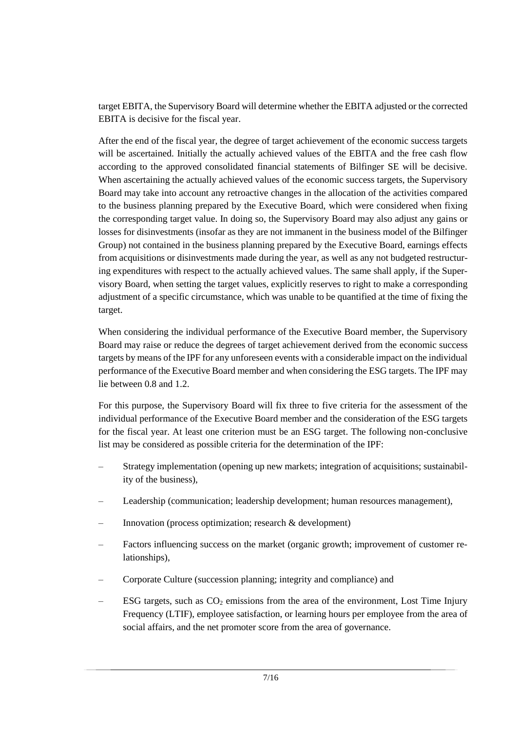target EBITA, the Supervisory Board will determine whether the EBITA adjusted or the corrected EBITA is decisive for the fiscal year.

After the end of the fiscal year, the degree of target achievement of the economic success targets will be ascertained. Initially the actually achieved values of the EBITA and the free cash flow according to the approved consolidated financial statements of Bilfinger SE will be decisive. When ascertaining the actually achieved values of the economic success targets, the Supervisory Board may take into account any retroactive changes in the allocation of the activities compared to the business planning prepared by the Executive Board, which were considered when fixing the corresponding target value. In doing so, the Supervisory Board may also adjust any gains or losses for disinvestments (insofar as they are not immanent in the business model of the Bilfinger Group) not contained in the business planning prepared by the Executive Board, earnings effects from acquisitions or disinvestments made during the year, as well as any not budgeted restructuring expenditures with respect to the actually achieved values. The same shall apply, if the Supervisory Board, when setting the target values, explicitly reserves to right to make a corresponding adjustment of a specific circumstance, which was unable to be quantified at the time of fixing the target.

When considering the individual performance of the Executive Board member, the Supervisory Board may raise or reduce the degrees of target achievement derived from the economic success targets by means of the IPF for any unforeseen events with a considerable impact on the individual performance of the Executive Board member and when considering the ESG targets. The IPF may lie between 0.8 and 1.2.

For this purpose, the Supervisory Board will fix three to five criteria for the assessment of the individual performance of the Executive Board member and the consideration of the ESG targets for the fiscal year. At least one criterion must be an ESG target. The following non-conclusive list may be considered as possible criteria for the determination of the IPF:

- Strategy implementation (opening up new markets; integration of acquisitions; sustainability of the business),
- Leadership (communication; leadership development; human resources management),
- Innovation (process optimization; research & development)
- Factors influencing success on the market (organic growth; improvement of customer relationships),
- Corporate Culture (succession planning; integrity and compliance) and
- ESG targets, such as  $CO<sub>2</sub>$  emissions from the area of the environment, Lost Time Injury Frequency (LTIF), employee satisfaction, or learning hours per employee from the area of social affairs, and the net promoter score from the area of governance.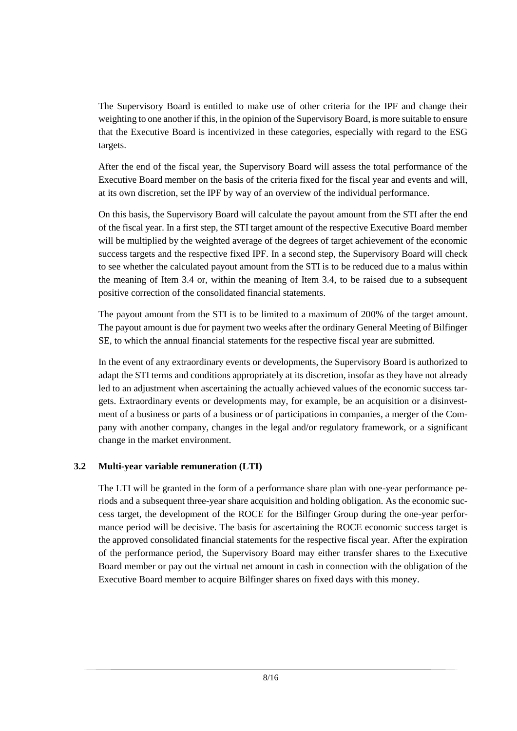The Supervisory Board is entitled to make use of other criteria for the IPF and change their weighting to one another if this, in the opinion of the Supervisory Board, is more suitable to ensure that the Executive Board is incentivized in these categories, especially with regard to the ESG targets.

After the end of the fiscal year, the Supervisory Board will assess the total performance of the Executive Board member on the basis of the criteria fixed for the fiscal year and events and will, at its own discretion, set the IPF by way of an overview of the individual performance.

On this basis, the Supervisory Board will calculate the payout amount from the STI after the end of the fiscal year. In a first step, the STI target amount of the respective Executive Board member will be multiplied by the weighted average of the degrees of target achievement of the economic success targets and the respective fixed IPF. In a second step, the Supervisory Board will check to see whether the calculated payout amount from the STI is to be reduced due to a malus within the meaning of Item 3.4 or, within the meaning of Item 3.4, to be raised due to a subsequent positive correction of the consolidated financial statements.

The payout amount from the STI is to be limited to a maximum of 200% of the target amount. The payout amount is due for payment two weeks after the ordinary General Meeting of Bilfinger SE, to which the annual financial statements for the respective fiscal year are submitted.

In the event of any extraordinary events or developments, the Supervisory Board is authorized to adapt the STI terms and conditions appropriately at its discretion, insofar as they have not already led to an adjustment when ascertaining the actually achieved values of the economic success targets. Extraordinary events or developments may, for example, be an acquisition or a disinvestment of a business or parts of a business or of participations in companies, a merger of the Company with another company, changes in the legal and/or regulatory framework, or a significant change in the market environment.

## **3.2 Multi-year variable remuneration (LTI)**

The LTI will be granted in the form of a performance share plan with one-year performance periods and a subsequent three-year share acquisition and holding obligation. As the economic success target, the development of the ROCE for the Bilfinger Group during the one-year performance period will be decisive. The basis for ascertaining the ROCE economic success target is the approved consolidated financial statements for the respective fiscal year. After the expiration of the performance period, the Supervisory Board may either transfer shares to the Executive Board member or pay out the virtual net amount in cash in connection with the obligation of the Executive Board member to acquire Bilfinger shares on fixed days with this money.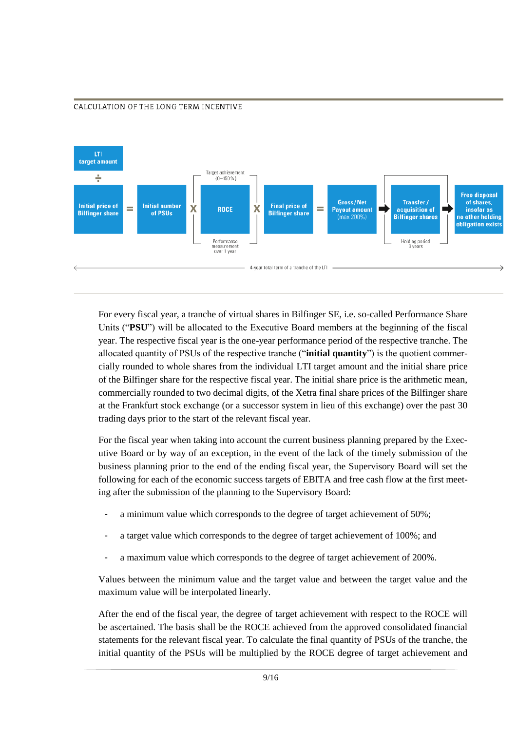

#### CALCULATION OF THE LONG TERM INCENTIVE

For every fiscal year, a tranche of virtual shares in Bilfinger SE, i.e. so-called Performance Share Units ("**PSU**") will be allocated to the Executive Board members at the beginning of the fiscal year. The respective fiscal year is the one-year performance period of the respective tranche. The allocated quantity of PSUs of the respective tranche ("**initial quantity**") is the quotient commercially rounded to whole shares from the individual LTI target amount and the initial share price of the Bilfinger share for the respective fiscal year. The initial share price is the arithmetic mean, commercially rounded to two decimal digits, of the Xetra final share prices of the Bilfinger share at the Frankfurt stock exchange (or a successor system in lieu of this exchange) over the past 30 trading days prior to the start of the relevant fiscal year.

For the fiscal year when taking into account the current business planning prepared by the Executive Board or by way of an exception, in the event of the lack of the timely submission of the business planning prior to the end of the ending fiscal year, the Supervisory Board will set the following for each of the economic success targets of EBITA and free cash flow at the first meeting after the submission of the planning to the Supervisory Board:

- a minimum value which corresponds to the degree of target achievement of 50%;
- a target value which corresponds to the degree of target achievement of 100%; and
- a maximum value which corresponds to the degree of target achievement of 200%.

Values between the minimum value and the target value and between the target value and the maximum value will be interpolated linearly.

After the end of the fiscal year, the degree of target achievement with respect to the ROCE will be ascertained. The basis shall be the ROCE achieved from the approved consolidated financial statements for the relevant fiscal year. To calculate the final quantity of PSUs of the tranche, the initial quantity of the PSUs will be multiplied by the ROCE degree of target achievement and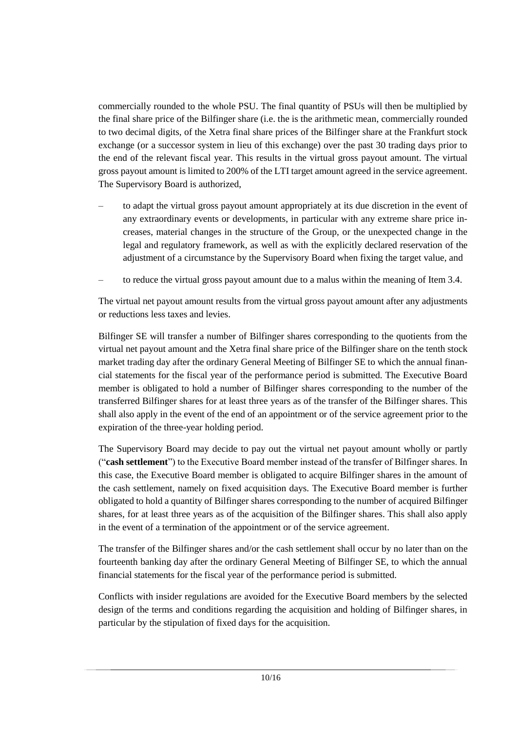commercially rounded to the whole PSU. The final quantity of PSUs will then be multiplied by the final share price of the Bilfinger share (i.e. the is the arithmetic mean, commercially rounded to two decimal digits, of the Xetra final share prices of the Bilfinger share at the Frankfurt stock exchange (or a successor system in lieu of this exchange) over the past 30 trading days prior to the end of the relevant fiscal year. This results in the virtual gross payout amount. The virtual gross payout amount is limited to 200% of the LTI target amount agreed in the service agreement. The Supervisory Board is authorized,

- to adapt the virtual gross payout amount appropriately at its due discretion in the event of any extraordinary events or developments, in particular with any extreme share price increases, material changes in the structure of the Group, or the unexpected change in the legal and regulatory framework, as well as with the explicitly declared reservation of the adjustment of a circumstance by the Supervisory Board when fixing the target value, and
- to reduce the virtual gross payout amount due to a malus within the meaning of Item 3.4.

The virtual net payout amount results from the virtual gross payout amount after any adjustments or reductions less taxes and levies.

Bilfinger SE will transfer a number of Bilfinger shares corresponding to the quotients from the virtual net payout amount and the Xetra final share price of the Bilfinger share on the tenth stock market trading day after the ordinary General Meeting of Bilfinger SE to which the annual financial statements for the fiscal year of the performance period is submitted. The Executive Board member is obligated to hold a number of Bilfinger shares corresponding to the number of the transferred Bilfinger shares for at least three years as of the transfer of the Bilfinger shares. This shall also apply in the event of the end of an appointment or of the service agreement prior to the expiration of the three-year holding period.

The Supervisory Board may decide to pay out the virtual net payout amount wholly or partly ("**cash settlement**") to the Executive Board member instead of the transfer of Bilfinger shares. In this case, the Executive Board member is obligated to acquire Bilfinger shares in the amount of the cash settlement, namely on fixed acquisition days. The Executive Board member is further obligated to hold a quantity of Bilfinger shares corresponding to the number of acquired Bilfinger shares, for at least three years as of the acquisition of the Bilfinger shares. This shall also apply in the event of a termination of the appointment or of the service agreement.

The transfer of the Bilfinger shares and/or the cash settlement shall occur by no later than on the fourteenth banking day after the ordinary General Meeting of Bilfinger SE, to which the annual financial statements for the fiscal year of the performance period is submitted.

Conflicts with insider regulations are avoided for the Executive Board members by the selected design of the terms and conditions regarding the acquisition and holding of Bilfinger shares, in particular by the stipulation of fixed days for the acquisition.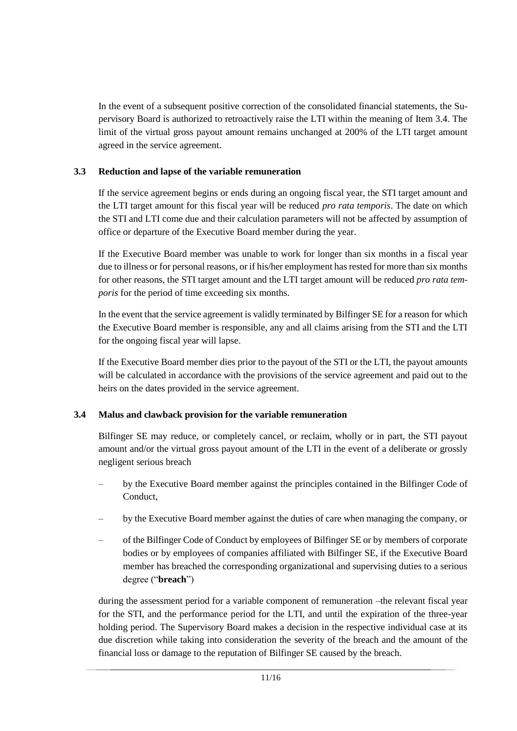In the event of a subsequent positive correction of the consolidated financial statements, the Supervisory Board is authorized to retroactively raise the LTI within the meaning of Item 3.4. The limit of the virtual gross payout amount remains unchanged at 200% of the LTI target amount agreed in the service agreement.

## **3.3 Reduction and lapse of the variable remuneration**

If the service agreement begins or ends during an ongoing fiscal year, the STI target amount and the LTI target amount for this fiscal year will be reduced *pro rata temporis*. The date on which the STI and LTI come due and their calculation parameters will not be affected by assumption of office or departure of the Executive Board member during the year.

If the Executive Board member was unable to work for longer than six months in a fiscal year due to illness or for personal reasons, or if his/her employment has rested for more than six months for other reasons, the STI target amount and the LTI target amount will be reduced *pro rata temporis* for the period of time exceeding six months.

In the event that the service agreement is validly terminated by Bilfinger SE for a reason for which the Executive Board member is responsible, any and all claims arising from the STI and the LTI for the ongoing fiscal year will lapse.

If the Executive Board member dies prior to the payout of the STI or the LTI, the payout amounts will be calculated in accordance with the provisions of the service agreement and paid out to the heirs on the dates provided in the service agreement.

## **3.4 Malus and clawback provision for the variable remuneration**

Bilfinger SE may reduce, or completely cancel, or reclaim, wholly or in part, the STI payout amount and/or the virtual gross payout amount of the LTI in the event of a deliberate or grossly negligent serious breach

- by the Executive Board member against the principles contained in the Bilfinger Code of Conduct,
- by the Executive Board member against the duties of care when managing the company, or
- of the Bilfinger Code of Conduct by employees of Bilfinger SE or by members of corporate bodies or by employees of companies affiliated with Bilfinger SE, if the Executive Board member has breached the corresponding organizational and supervising duties to a serious degree ("**breach**")

during the assessment period for a variable component of remuneration –the relevant fiscal year for the STI, and the performance period for the LTI, and until the expiration of the three-year holding period. The Supervisory Board makes a decision in the respective individual case at its due discretion while taking into consideration the severity of the breach and the amount of the financial loss or damage to the reputation of Bilfinger SE caused by the breach.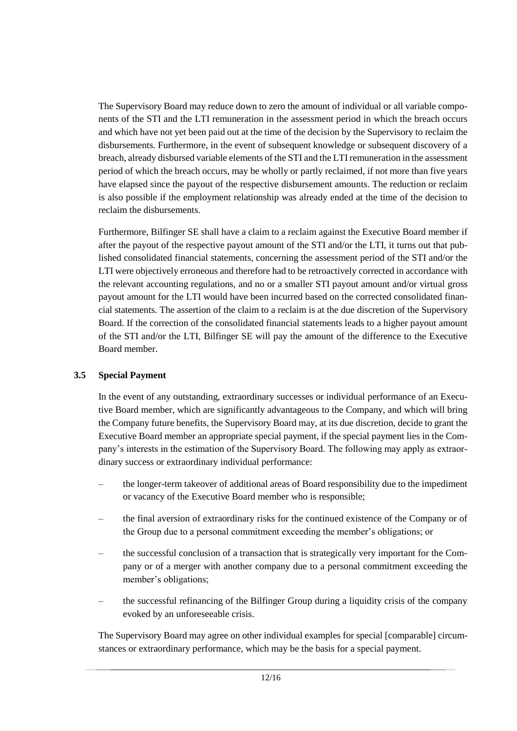The Supervisory Board may reduce down to zero the amount of individual or all variable components of the STI and the LTI remuneration in the assessment period in which the breach occurs and which have not yet been paid out at the time of the decision by the Supervisory to reclaim the disbursements. Furthermore, in the event of subsequent knowledge or subsequent discovery of a breach, already disbursed variable elements of the STI and the LTI remuneration in the assessment period of which the breach occurs, may be wholly or partly reclaimed, if not more than five years have elapsed since the payout of the respective disbursement amounts. The reduction or reclaim is also possible if the employment relationship was already ended at the time of the decision to reclaim the disbursements.

Furthermore, Bilfinger SE shall have a claim to a reclaim against the Executive Board member if after the payout of the respective payout amount of the STI and/or the LTI, it turns out that published consolidated financial statements, concerning the assessment period of the STI and/or the LTI were objectively erroneous and therefore had to be retroactively corrected in accordance with the relevant accounting regulations, and no or a smaller STI payout amount and/or virtual gross payout amount for the LTI would have been incurred based on the corrected consolidated financial statements. The assertion of the claim to a reclaim is at the due discretion of the Supervisory Board. If the correction of the consolidated financial statements leads to a higher payout amount of the STI and/or the LTI, Bilfinger SE will pay the amount of the difference to the Executive Board member.

## **3.5 Special Payment**

In the event of any outstanding, extraordinary successes or individual performance of an Executive Board member, which are significantly advantageous to the Company, and which will bring the Company future benefits, the Supervisory Board may, at its due discretion, decide to grant the Executive Board member an appropriate special payment, if the special payment lies in the Company's interests in the estimation of the Supervisory Board. The following may apply as extraordinary success or extraordinary individual performance:

- the longer-term takeover of additional areas of Board responsibility due to the impediment or vacancy of the Executive Board member who is responsible;
- the final aversion of extraordinary risks for the continued existence of the Company or of the Group due to a personal commitment exceeding the member's obligations; or
- the successful conclusion of a transaction that is strategically very important for the Company or of a merger with another company due to a personal commitment exceeding the member's obligations;
- the successful refinancing of the Bilfinger Group during a liquidity crisis of the company evoked by an unforeseeable crisis.

The Supervisory Board may agree on other individual examples for special [comparable] circumstances or extraordinary performance, which may be the basis for a special payment.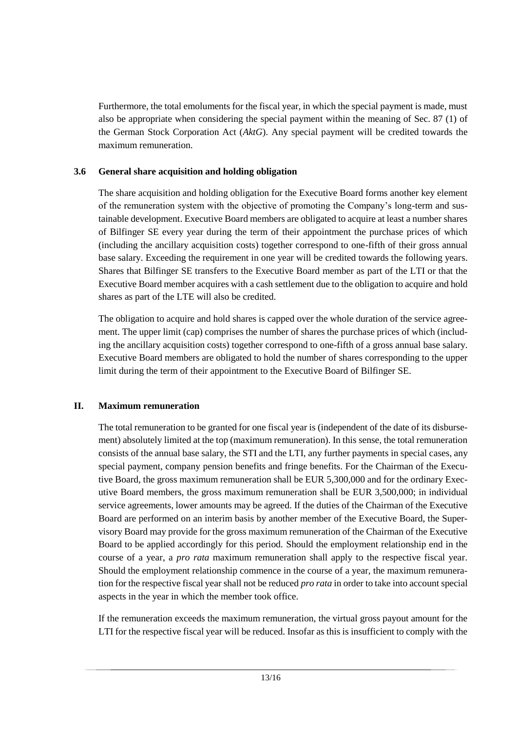Furthermore, the total emoluments for the fiscal year, in which the special payment is made, must also be appropriate when considering the special payment within the meaning of Sec. 87 (1) of the German Stock Corporation Act (*AktG*). Any special payment will be credited towards the maximum remuneration.

## **3.6 General share acquisition and holding obligation**

The share acquisition and holding obligation for the Executive Board forms another key element of the remuneration system with the objective of promoting the Company's long-term and sustainable development. Executive Board members are obligated to acquire at least a number shares of Bilfinger SE every year during the term of their appointment the purchase prices of which (including the ancillary acquisition costs) together correspond to one-fifth of their gross annual base salary. Exceeding the requirement in one year will be credited towards the following years. Shares that Bilfinger SE transfers to the Executive Board member as part of the LTI or that the Executive Board member acquires with a cash settlement due to the obligation to acquire and hold shares as part of the LTE will also be credited.

The obligation to acquire and hold shares is capped over the whole duration of the service agreement. The upper limit (cap) comprises the number of shares the purchase prices of which (including the ancillary acquisition costs) together correspond to one-fifth of a gross annual base salary. Executive Board members are obligated to hold the number of shares corresponding to the upper limit during the term of their appointment to the Executive Board of Bilfinger SE.

## **II. Maximum remuneration**

The total remuneration to be granted for one fiscal year is (independent of the date of its disbursement) absolutely limited at the top (maximum remuneration). In this sense, the total remuneration consists of the annual base salary, the STI and the LTI, any further payments in special cases, any special payment, company pension benefits and fringe benefits. For the Chairman of the Executive Board, the gross maximum remuneration shall be EUR 5,300,000 and for the ordinary Executive Board members, the gross maximum remuneration shall be EUR 3,500,000; in individual service agreements, lower amounts may be agreed. If the duties of the Chairman of the Executive Board are performed on an interim basis by another member of the Executive Board, the Supervisory Board may provide for the gross maximum remuneration of the Chairman of the Executive Board to be applied accordingly for this period. Should the employment relationship end in the course of a year, a *pro rata* maximum remuneration shall apply to the respective fiscal year. Should the employment relationship commence in the course of a year, the maximum remuneration for the respective fiscal year shall not be reduced *pro rata* in order to take into account special aspects in the year in which the member took office.

If the remuneration exceeds the maximum remuneration, the virtual gross payout amount for the LTI for the respective fiscal year will be reduced. Insofar as this is insufficient to comply with the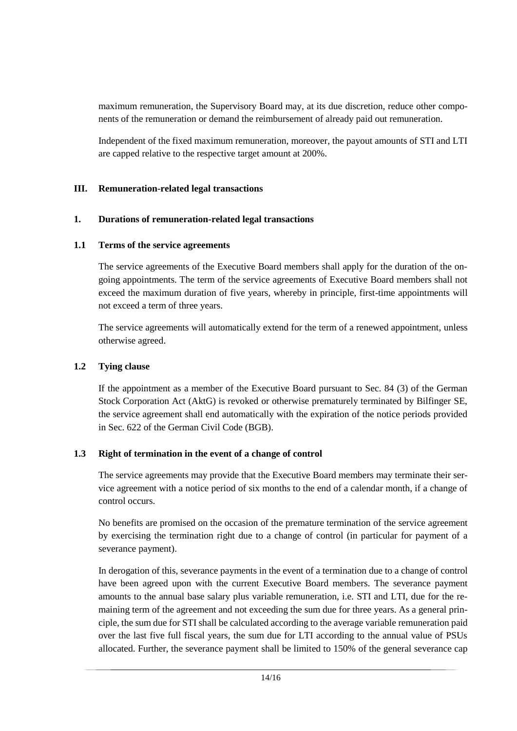maximum remuneration, the Supervisory Board may, at its due discretion, reduce other components of the remuneration or demand the reimbursement of already paid out remuneration.

Independent of the fixed maximum remuneration, moreover, the payout amounts of STI and LTI are capped relative to the respective target amount at 200%.

## **III. Remuneration-related legal transactions**

## **1. Durations of remuneration-related legal transactions**

## **1.1 Terms of the service agreements**

The service agreements of the Executive Board members shall apply for the duration of the ongoing appointments. The term of the service agreements of Executive Board members shall not exceed the maximum duration of five years, whereby in principle, first-time appointments will not exceed a term of three years.

The service agreements will automatically extend for the term of a renewed appointment, unless otherwise agreed.

## **1.2 Tying clause**

If the appointment as a member of the Executive Board pursuant to Sec. 84 (3) of the German Stock Corporation Act (AktG) is revoked or otherwise prematurely terminated by Bilfinger SE, the service agreement shall end automatically with the expiration of the notice periods provided in Sec. 622 of the German Civil Code (BGB).

## **1.3 Right of termination in the event of a change of control**

The service agreements may provide that the Executive Board members may terminate their service agreement with a notice period of six months to the end of a calendar month, if a change of control occurs.

No benefits are promised on the occasion of the premature termination of the service agreement by exercising the termination right due to a change of control (in particular for payment of a severance payment).

In derogation of this, severance payments in the event of a termination due to a change of control have been agreed upon with the current Executive Board members. The severance payment amounts to the annual base salary plus variable remuneration, i.e. STI and LTI, due for the remaining term of the agreement and not exceeding the sum due for three years. As a general principle, the sum due for STI shall be calculated according to the average variable remuneration paid over the last five full fiscal years, the sum due for LTI according to the annual value of PSUs allocated. Further, the severance payment shall be limited to 150% of the general severance cap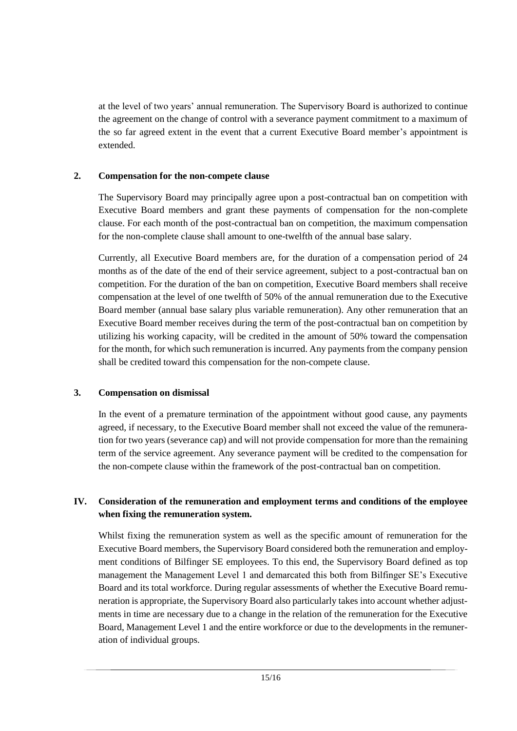at the level of two years' annual remuneration. The Supervisory Board is authorized to continue the agreement on the change of control with a severance payment commitment to a maximum of the so far agreed extent in the event that a current Executive Board member's appointment is extended.

## **2. Compensation for the non-compete clause**

The Supervisory Board may principally agree upon a post-contractual ban on competition with Executive Board members and grant these payments of compensation for the non-complete clause. For each month of the post-contractual ban on competition, the maximum compensation for the non-complete clause shall amount to one-twelfth of the annual base salary.

Currently, all Executive Board members are, for the duration of a compensation period of 24 months as of the date of the end of their service agreement, subject to a post-contractual ban on competition. For the duration of the ban on competition, Executive Board members shall receive compensation at the level of one twelfth of 50% of the annual remuneration due to the Executive Board member (annual base salary plus variable remuneration). Any other remuneration that an Executive Board member receives during the term of the post-contractual ban on competition by utilizing his working capacity, will be credited in the amount of 50% toward the compensation for the month, for which such remuneration is incurred. Any payments from the company pension shall be credited toward this compensation for the non-compete clause.

## **3. Compensation on dismissal**

In the event of a premature termination of the appointment without good cause, any payments agreed, if necessary, to the Executive Board member shall not exceed the value of the remuneration for two years (severance cap) and will not provide compensation for more than the remaining term of the service agreement. Any severance payment will be credited to the compensation for the non-compete clause within the framework of the post-contractual ban on competition.

# **IV. Consideration of the remuneration and employment terms and conditions of the employee when fixing the remuneration system.**

Whilst fixing the remuneration system as well as the specific amount of remuneration for the Executive Board members, the Supervisory Board considered both the remuneration and employment conditions of Bilfinger SE employees. To this end, the Supervisory Board defined as top management the Management Level 1 and demarcated this both from Bilfinger SE's Executive Board and its total workforce. During regular assessments of whether the Executive Board remuneration is appropriate, the Supervisory Board also particularly takes into account whether adjustments in time are necessary due to a change in the relation of the remuneration for the Executive Board, Management Level 1 and the entire workforce or due to the developments in the remuneration of individual groups.